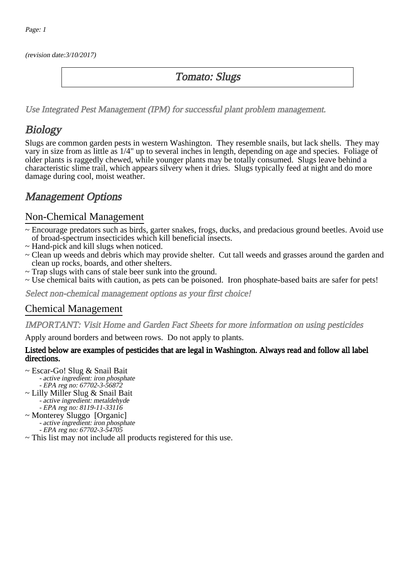(revision date:3/10/2017)

### Tomato: Slugs

[Use Integrated Pest Management \(IPM\) for successful plant problem management.](http://pep.wsu.edu/Home_Garden/H_G_Pesticide_info/urban_Integrated_Pest_Managmen/)

# **Biology**

Slugs are common garden pests in western Washington. They resemble snails, but lack shells. They may vary in size from as little as 1/4" up to several inches in length, depending on age and species. Foliage of older plants is raggedly chewed, while younger plants may be totally consumed. Slugs leave behind a characteristic slime trail, which appears silvery when it dries. Slugs typically feed at night and do more damage during cool, moist weather.

## Management Options

#### Non-Chemical Management

- ~ Encourage predators such as birds, garter snakes, frogs, ducks, and predacious ground beetles. Avoid use of broad-spectrum insecticides which kill beneficial insects.
- ~ Hand-pick and kill slugs when noticed.
- ~ Clean up weeds and debris which may provide shelter. Cut tall weeds and grasses around the garden and clean up rocks, boards, and other shelters.
- ~ Trap slugs with cans of stale beer sunk into the ground.
- ~ Use chemical baits with caution, as pets can be poisoned. Iron phosphate-based baits are safer for pets!

Select non-chemical management options as your first choice!

#### Chemical Management

IMPORTANT: [Visit Home and Garden Fact Sheets for more information on using pesticides](http://pep.wsu.edu/Home_Garden/H_G_Pesticide_info/)

Apply around borders and between rows. Do not apply to plants.

#### Listed below are examples of pesticides that are legal in Washington. Always read and follow all label directions.

- ~ Escar-Go! Slug & Snail Bait
	- active ingredient: iron phosphate - EPA reg no: 67702-3-56872
- ~ Lilly Miller Slug & Snail Bait - active ingredient: metaldehyde
- EPA reg no: 8119-11-33116 ~ Monterey Sluggo [Organic] - active ingredient: iron phosphate - EPA reg no: 67702-3-54705
- ~ This list may not include all products registered for this use.